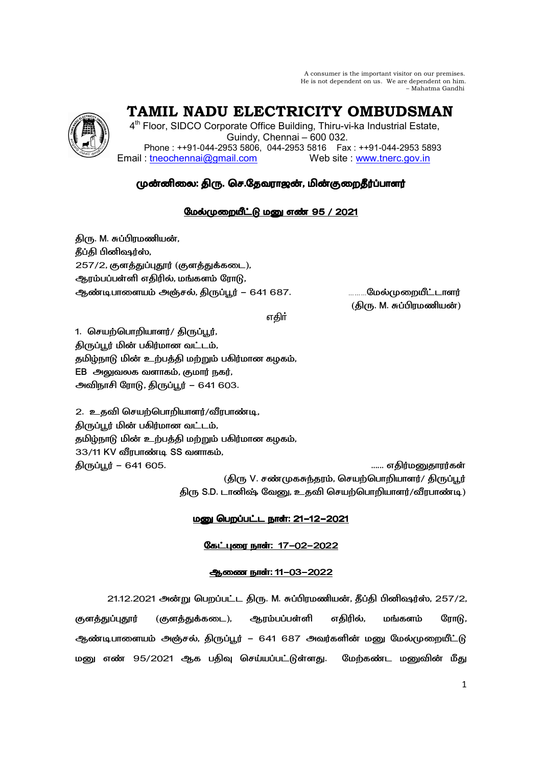A consumer is the important visitor on our premises. He is not dependent on us. We are dependent on him. – Mahatma Gandhi

# **TAMIL NADU ELECTRICITY OMBUDSMAN**

4<sup>th</sup> Floor, SIDCO Corporate Office Building, Thiru-vi-ka Industrial Estate, Guindy, Chennai – 600 032. Phone : ++91-044-2953 5806, 044-2953 5816 Fax : ++91-044-2953 5893 Email : tneochennai@gmail.com Web site : www.tnerc.gov.in

# முன்னிலை: திரு. செ.தேவராஜன், மின்குறைதீர்ப்பாளர்

# மேல்முறையீட்டு மனு எண் 95 / 2021

திரு. M. சுப்பிரமணியன், தீப்தி பினிஷர்ஸ்,  $257/2$ , குளத்துப்புதூர் (குளத்துக்கடை), ஆரம்பப்பள்ளி எதிரில், மங்களம் ரோடு, ஆண்டிபாளையம் அஞ்சல், திருப்பூர் — 641 687. .........மேல்முறையீட்டாளர்

் (திரு. M. சுப்பிரமணியன்) (திரு. M. சுப்பிரமணியன்)

ு பெரும் முறையாக குறியில் பெரும் விருந்து விடும்பு பெரும் விடும்பு பெரும் விடும்பு பெரும் விடும்பு பெரும் விடும

1. செயற்பொறியாளர்/ திருப்பூர், திருப்பூர் மின் பகிர்மான வட்டம், தமிழ்நாடு மின் உற்பத்தி மற்றும் பகிர்மான கழகம்,  $EB$  அலுவலக வளாகம், குமார் நகர், அவிநாசி ரோடு, திருப்பூர் – 641 603.

2. உதவி செயற்பொறியாளர்/வீரபாண்டி, திருப்பூர் மின் பகிர்மான வட்டம், தமிழ்நாடு மின் உற்பத்தி மற்றும் பகிர்மான கழகம், 33/11 KV வீரபாண்டி SS வளாகம், திருப்பூர் – 641 605. பான் முடிவாக முடிவாக முடிவாக முடிவாக பான் பான் முடிவாக முடிவாக முடிவாக முடிவாக முடிவாக (திரு V. சண்முகசுந்தரம், செயற்பொறியாளர்/ திருப்பூர்

திரு S.D. டானிஷ் வேனு, உதவி செயற்பொறியாளர்/வீரபாண்டி)

# <u> மனு பெறப்பட்ட நாள்: 21-12-2021</u>

# கேட்புரை நாள்: 17-02-2022

# ஆணை நாள்: 11-03-2022

21.12.2021 அன்று பெறப்பட்ட திரு. M. சுப்பிரமணியன், தீப்தி பினிஷர்ஸ், 257/2, குளத்துப்புதூர் (குளத்துக்கடை), ஆரம்பப்பள்ளி எதிரில், மங்களம் ரோடு, ஆண்டிபாளையம் அஞ்சல், திருப்பூர் – 641 687 அவர்களின் மனு மேல்முறையீட்டு மனு எண் 95/2021 ஆக பதிவு செய்யப்பட்டுள்ளது. மேற்கண்ட மனுவின் மீது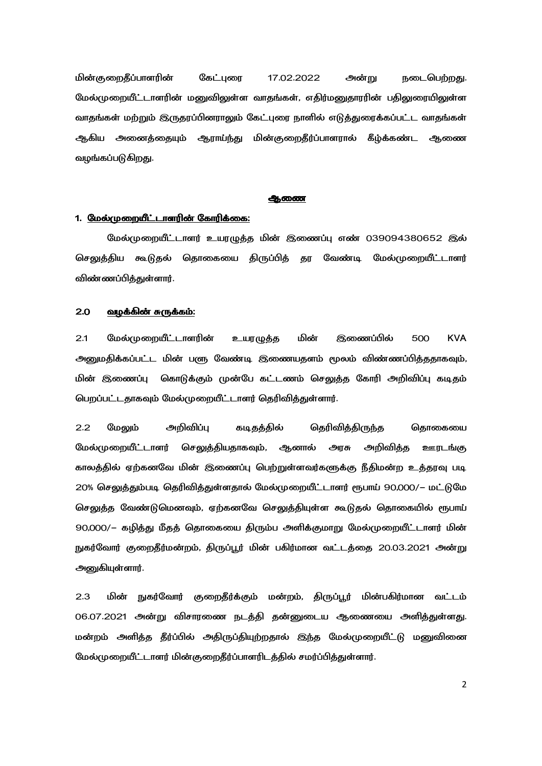மின்குறைதீப்பாளரின் கேட்புரை 17.02.2022 அன்று நடைபெற்றது. மேல்முறையீட்டாளரின் மனுவிலுள்ள வாதங்கள், எதிர்மனுதாரரின் பதிலுரையிலுள்ள வாதங்கள் மற்றும் இருதரப்பினராலும் கேட்புரை நாளில் எடுத்துரைக்கப்பட்ட வாதங்கள் ஆகிய அனைத்தையும் ஆராய்ந்து மின்குறைதீர்ப்பாளரால் கீழ்க்கண்ட ஆணை வழங்கப்படுகிறது.

### ஆணை

# 1. மேல்முறையீட்டாளரின் கோரிக்கை:

மேல்முறையீட்டாளர் உயரழுத்த மின் இணைப்பு எண் 039094380652 இல் செலுத்திய கூடுதல் தொகையை திருப்பித் தர வேண்டி மேல்முறையீட்டாளர் விண்ணப்பித்துள்ளார்.

#### $2.0$ <u>வழக்கின் சுருக்கம்:</u>

 $2.1$ மேல்முறையீட்டாளரின் மின் இணைப்பில் 500 **KVA** உயரழுத்த அனுமதிக்கப்பட்ட மின் பளு வேண்டி இணையதளம் மூலம் விண்ணப்பித்ததாகவும், மின் இணைப்பு கொடுக்கும் முன்பே கட்டணம் செலுத்த கோரி அறிவிப்பு கடிதம் பெறப்பட்டதாகவும் மேல்முறையீட்டாளர் தெரிவித்துள்ளார்.

 $2.2$ மேலும் அறிவிப்பு தெரிவித்திருந்த கடிதத்தில் தொகையை மேல்முறையீட்டாளர் செலுத்தியதாகவும், ஆனால் அரசு அறிவித்த ஊரடங்கு காலத்தில் ஏற்கனவே மின் இணைப்பு பெற்றுள்ளவர்களுக்கு நீதிமன்ற உத்தரவு படி 20% செலுத்தும்படி தெரிவித்துள்ளதால் மேல்முறையீட்டாளர் ரூபாய் 90,000/– மட்டுமே செலுத்த வேண்டுமெனவும், ஏற்கனவே செலுத்தியுள்ள கூடுதல் தொகையில் ரூபாய் 90,000/– கழித்து மீதத் தொகையை திரும்ப அளிக்குமாறு மேல்முறையீட்டாளர் மின் நுகர்வோர் குறைதீர்மன்றம், திருப்பூர் மின் பகிர்மான வட்டத்தை 20.03.2021 அன்று அனுகியுள்ளார்.

 $2.3$ மின் நுகர்வோர் குறைதீர்க்கும் மன்றம், திருப்பூர் மின்பகிர்மான வட்டம் 06.07.2021 அன்று விசாரணை நடத்தி தன்னுடைய ஆணையை அளித்துள்ளது. மன்றம் அளித்த தீர்ப்பில் அதிருப்தியுற்றதால் இந்த மேல்முறையீட்டு மனுவினை மேல்முறையீட்டாளர் மின்குறைதீர்ப்பாளரிடத்தில் சமர்ப்பித்துள்ளார்.

 $\overline{2}$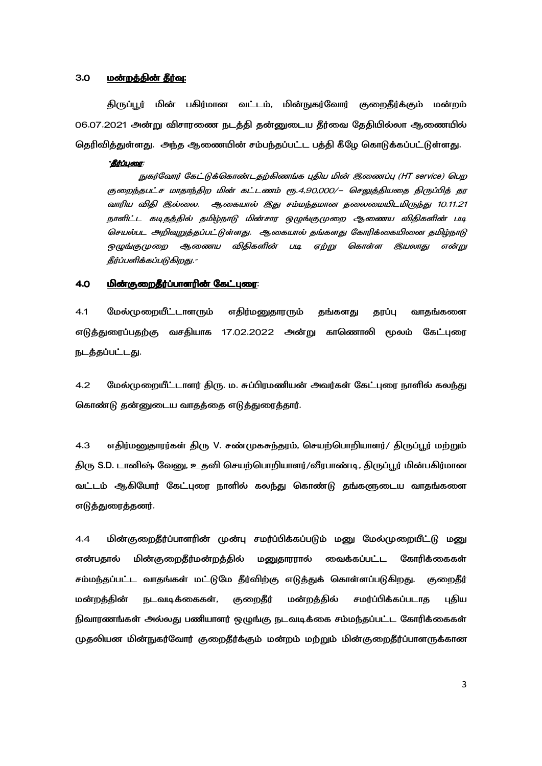#### $3.0$ மன்றத்தின் தீர்வு:

திருப்பூர் மின் பகிர்மான வட்டம், மின்நுகர்வோர் குறைதீர்க்கும் மன்றம் 06.07.2021 அன்று விசாரணை நடத்தி தன்னுடைய தீர்வை தேதியில்லா ஆணையில் தெரிவித்துள்ளது. அந்த ஆணையின் சம்பந்தப்பட்ட பத்தி கீழே கொடுக்கப்பட்டுள்ளது.

# "தீர்ப்புரை:

நுகர்வோர் கேட்டுக்கொண்டதற்கிணங்க புதிய மின் இணைப்பு (HT service) பெற குறைந்தபட்ச மாதாந்திற மின் கட்டணம் ரூ.4,90,000/– செலுத்தியதை திருப்பித் தர வாரிய விதி இல்லை. ஆகையால் இது சம்மந்தமான தலைமையிடமிருந்து 10.11.21 நாளிட்ட கடிதத்தில் தமிழ்நாடு மின்சார ஒழுங்குமுறை ஆணைய விதிகளின் படி செயல்பட அறிவுறுத்தப்பட்டுள்ளது. ஆகையால் தங்களது கோரிக்கையினை தமிழ்நாடு ஒழுங்குமுறை ஆணைய விதிகளின் படி ஏற்று கொள்ள இயலாது என்று தீர்ப்பளிக்கப்படுகிறது."

#### <u>மின்குறைதீர்ப்பாளரின் கேட்புரை:</u> 4.0

 $4.1$ மேல்முறையீட்டாளரும் எதிர்மனுதாரரும் தங்களது தரப்பு வாதங்களை எடுத்துரைப்பதற்கு வசதியாக 17.02.2022 அன்று காணொலி மூலம் கேட்புரை நடத்தப்பட்டது.

 $4.2$ மேல்முறையீட்டாளர் திரு. ம. சுப்பிரமணியன் அவர்கள் கேட்புரை நாளில் கலந்து கொண்டு தன்னுடைய வாதத்தை எடுத்துரைத்தார்.

 $4.3$ எதிர்மனுதாரர்கள் திரு V. சண்முகசுந்தரம், செயற்பொறியாளர்/ திருப்பூர் மற்றும் திரு S.D. டானிஷ் வேனு, உதவி செயற்பொறியாளர்/வீரபாண்டி, திருப்பூர் மின்பகிர்மான வட்டம் ஆகியோர் கேட்புரை நாளில் கலந்து கொண்டு தங்களுடைய வாதங்களை எடுத்துரைத்தனர்.

மின்குறைதீர்ப்பாளரின் முன்பு சமர்ப்பிக்கப்படும் மனு மேல்முறையீட்டு மனு  $4.4$ என்பகால் மின்குறைதீர்மன்றத்தில் மனுதாரரால் வைக்கப்பட்ட கோரிக்கைகள் சம்மந்தப்பட்ட வாதங்கள் மட்டுமே தீர்விற்கு எடுத்துக் கொள்ளப்படுகிறது. குறைதீர் மன்றத்தின் நடவடிக்கைகள், குறைதீர் மன்றத்தில் சமர்ப்பிக்கப்படாத புதிய நிவாரணங்கள் அல்லது பணியாளர் ஒழுங்கு நடவடிக்கை சம்மந்தப்பட்ட கோரிக்கைகள் முதலியன மின்நுகர்வோர் குறைதீர்க்கும் மன்றம் மற்றும் மின்குறைதீர்ப்பாளருக்கான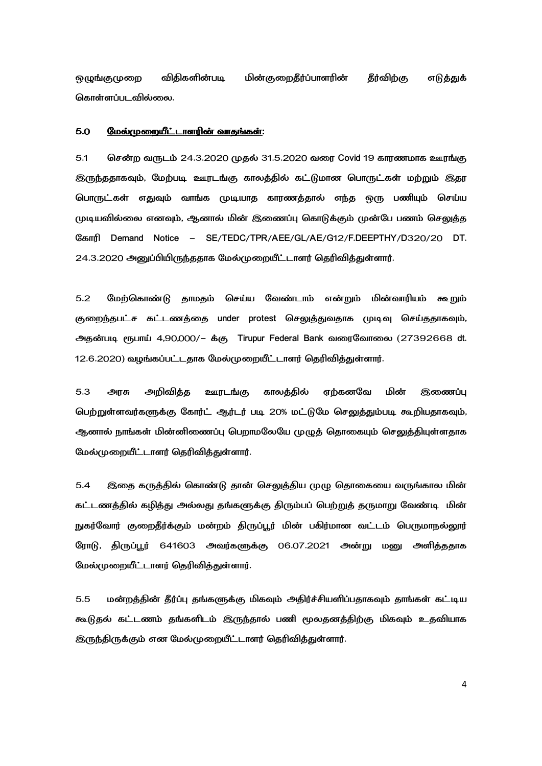ஒழுங்குமுறை விதிகளின்படி படி மின்குறைதீர்ப்பாளரின் தீர்விற்கு எடுத்துக் கொள்ளப்படவில்லை.

# 5.0 
9?- @8= @8=:

5.1 சென்ற வருடம் 24.3.2020 முதல் 31.5.2020 வரை Covid 19 காரணமாக ஊரங்கு இருந்ததாகவும், மேற்படி ஊரடங்கு காலத்தில் கட்டுமான பொருட்கள் மற்றும் இதர பொருட்கள் எதுவும் வாங்க முடியாத காரணத்தால் எந்த ஒரு பணியும் செய்ய முடியவில்லை எனவும், ஆனால் மின் இணைப்பு கொடுக்கும் முன்பே பணம் செலுத்த Свытл Demand Notice - SE/TEDC/TPR/AEE/GL/AE/G12/F.DEEPTHY/D320/20 DT. 24.3.2020 அனுப்பியிருந்ததாக மேல்முறையீட்டாளர் தெரிவித்துள்ளார்.

5.2 மேற்கொண்டு தாமதம் செய்ய வேண்டாம் என்றும் மின் மின்வாரியம் கூறும் குறைந்தபட்ச கட்டணத்தை under protest செலுத்துவதாக முடிவு செய்ததாகவும், அதன்படி ரூபாய் 4,90,000/- க்கு Tirupur Federal Bank வரைவோலை (27392668 dt. 12.6.2020) வழங்கப்பட்டதாக மேல்முறையீட்டாளர் தெரிவித்துள்ளார்.

5.3 அரசு அறிவித்த ஊரடங்கு காலத்தில் ஏற்கனவே மின் இணைப்பு பெற்றுள்ளவர்களுக்கு கோர்ட் ஆர்டர் படி 20% மட்டுமே செலுத்தும்படி கூறியதாகவும், ஆனால் நாங்கள் மின்னிணைப்பு பெறாமலேயே முழுத் தொகையும் செலுத்தியுள்ளதாக மேல்முறையீட்டாளர் தெரிவித்துள்ளார்.

5.4 இதை கருத்தில் கொண்டு தான் செலுத்திய முழு தொகையை வருங்கால மின் கட்டணத்தில் கழித்து அல்லது தங்களுக்கு திரும்பப் பெற்றுத் தருமாறு வேண்டி மின் நுகர்வோர் குறைதீர்க்கும் மன்றம் திருப்பூர் மின் பகிர்மான வட்டம் பெருமாநல்லூர் ரோடு, திருப்பூர் 641603 அவர்களுக்கு 06.07.2021 அன்று மனு அளித்ததாக மேல்முறையீட்டாளர் தெரிவித்துள்ளார்.

5.5 மன்றத்தின் தீர்ப்பு தங்களுக்கு மிகவும் அதிர்ச்சியளிப்பதாகவும் தாங்கள் கட்டிய கூடுதல் கட்டணம் தங்களிடம் இருந்தால் பணி மூலதனத்திற்கு மிகவும் உதவியாக இருந்திருக்கும் என மேல்முறையீட்டாளர் தெரிவித்துள்ளார்.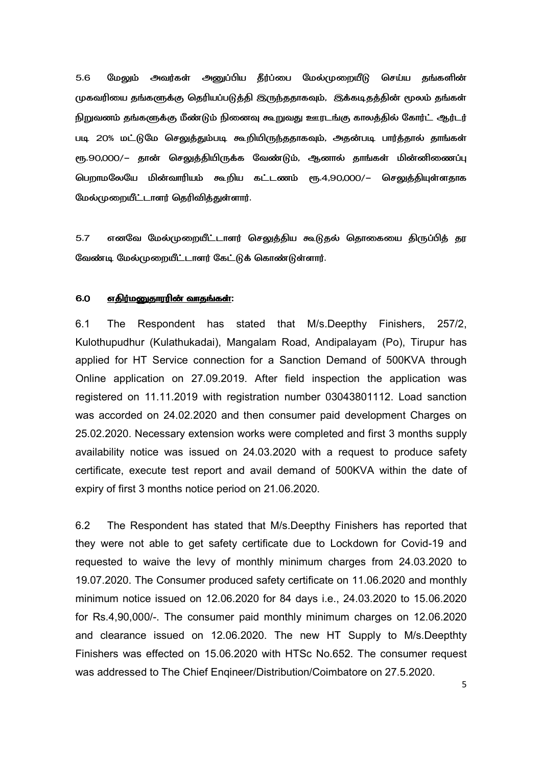5.6 மேலும் அவர்கள் அனுப்பிய தீர்ப்பை மேல்முறையீடு செய்ய தங்களின் முகவரியை தங்களுக்கு தெரியப்படுத்தி இருந்ததாகவும், இக்கடிதத்தின் மூலம் தங்கள் நிறுவனம் தங்களுக்கு மீண்டும் நினைவு கூறுவது ஊரடங்கு காலத்தில் கோர்ட் ஆர்டர் படி 20% மட்டுமே செலுத்தும்படி கூறியிருந்ததாகவும், அதன்படி பார்த்தால் தாங்கள் ரூ.90,000/– தான் செலுத்தியிருக்க வேண்டும், ஆனால் தாங்கள் மின்னிணைப்பு பெறாமலேயே மின்வாரியம் கூறிய கட்டணம் ரூ.4,90,000/— செலுத்தியுள்ளதாக மேல்முறையீட்டாளர் தெரிவித்துள்ளார்.

5.7 எனவே மேல்முறையீட்டாளர் செலுத்திய கூடுதல் தொகையை திருப்பித் தர வேண்டி மேல்முறையீட்டாளர் கேட்டுக் கொண்டுள்ளார்.

# 6.0 <u>எதிர்மனுதாரரின் வாதங்கள்</u>:

6.1 The Respondent has stated that M/s.Deepthy Finishers, 257/2, Kulothupudhur (Kulathukadai), Mangalam Road, Andipalayam (Po), Tirupur has applied for HT Service connection for a Sanction Demand of 500KVA through Online application on 27.09.2019. After field inspection the application was registered on 11.11.2019 with registration number 03043801112. Load sanction was accorded on 24.02.2020 and then consumer paid development Charges on 25.02.2020. Necessary extension works were completed and first 3 months supply availability notice was issued on 24.03.2020 with a request to produce safety certificate, execute test report and avail demand of 500KVA within the date of expiry of first 3 months notice period on 21.06.2020.

6.2 The Respondent has stated that M/s.Deepthy Finishers has reported that they were not able to get safety certificate due to Lockdown for Covid-19 and requested to waive the levy of monthly minimum charges from 24.03.2020 to 19.07.2020. The Consumer produced safety certificate on 11.06.2020 and monthly minimum notice issued on 12.06.2020 for 84 days i.e., 24.03.2020 to 15.06.2020 for Rs.4,90,000/-. The consumer paid monthly minimum charges on 12.06.2020 and clearance issued on 12.06.2020. The new HT Supply to M/s.Deepthty Finishers was effected on 15.06.2020 with HTSc No.652. The consumer request was addressed to The Chief Enqineer/Distribution/Coimbatore on 27.5.2020.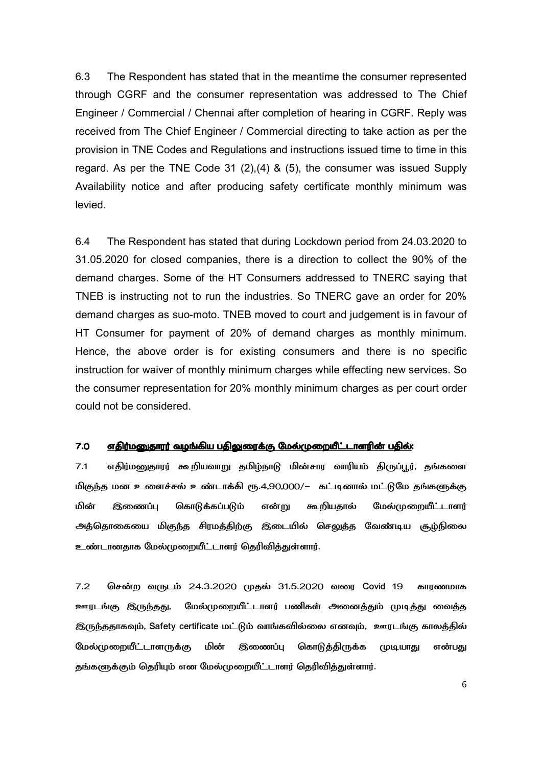6.3 The Respondent has stated that in the meantime the consumer represented through CGRF and the consumer representation was addressed to The Chief Engineer / Commercial / Chennai after completion of hearing in CGRF. Reply was received from The Chief Engineer / Commercial directing to take action as per the provision in TNE Codes and Regulations and instructions issued time to time in this regard. As per the TNE Code 31 (2),(4) & (5), the consumer was issued Supply Availability notice and after producing safety certificate monthly minimum was levied.

6.4 The Respondent has stated that during Lockdown period from 24.03.2020 to 31.05.2020 for closed companies, there is a direction to collect the 90% of the demand charges. Some of the HT Consumers addressed to TNERC saying that TNEB is instructing not to run the industries. So TNERC gave an order for 20% demand charges as suo-moto. TNEB moved to court and judgement is in favour of HT Consumer for payment of 20% of demand charges as monthly minimum. Hence, the above order is for existing consumers and there is no specific instruction for waiver of monthly minimum charges while effecting new services. So the consumer representation for 20% monthly minimum charges as per court order could not be considered.

## 7.0 "! R@L. U7 
9?- R@L. 
9?- :

7.1 எதிர்மனுதாரர் கூறியவாறு தமிழ்நாடு மின்சார வாரியம் திருப்பூர், தங்களை மிகுந்த மன உளைச்சல் உண்டாக்கி ரூ.4,90,000/– கட்டினால் மட்டுமே தங்களுக்கு மின் இணைப்பு கொடுக்கப்படும் என்று கூறியதால் மேல்முறையீட்டாளர் அத்தொகையை மிகுந்த சிரமத்திற்கு இடையில் செலுத்த வேண்டிய சூழ்நிலை உண்டானதாக மேல்முறையீட்டாளர் தெரிவித்துள்ளார்.

7.2 சென்ற வருடம் 24.3.2020 முதல் 31.5.2020 வரை Covid 19 காரணமாக ஊரடங்கு இருந்தது, மேல்முறையீட்டாளர் பணிகள் அனைத்தும் முடித்து வைத்த இருந்ததாகவும், Safety certificate மட்டும் வாங்கவில்லை எனவும், ஊரடங்கு காலத்தில் மேல்முறையீட்டாளருக்கு மின் இணைப்பு கொடுத்திருக்க முடியாது என் என்பகு தங்களுக்கும் தெரியும் என மேல்முறையீட்டாளர் தெரிவித்துள்ளார்.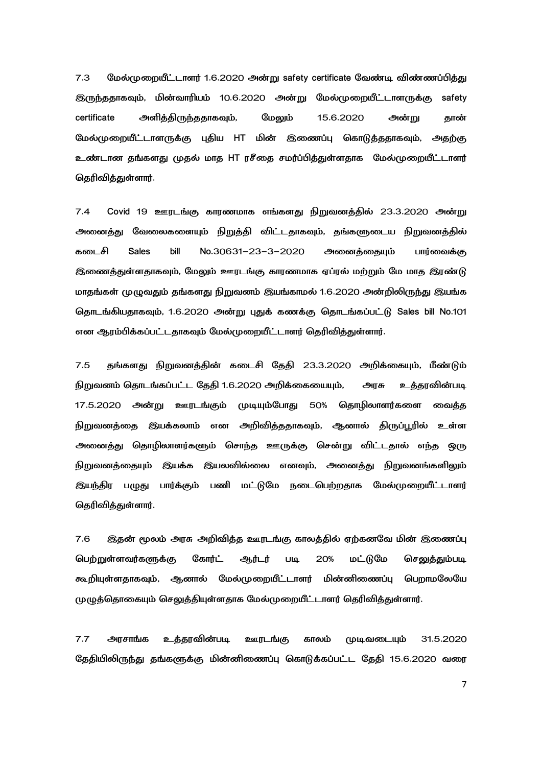7.3 மேல்முறையீட்டாளர் 1.6.2020 அன்று safety certificate வேண்டி விண்ணப்பித்து இருந்ததாகவும், மின்வாரியம் 10.6.2020 அன் மேல்முறையீட்டாளருக்கு safety certificate அளித்திருந்ததாகவும், மேலும் 15.6.2020 அன்று று தான் மேல்முறையீட்டாளருக்கு புதிய HT மின் இணைப்பு கொடுத்ததாகவும், அதற்கு உண்டான தங்களது முதல் மாத HT ரசீதை சமர்ப்பித்துள்ளதாக மேல்முறையீட்டாளர் தெரிவித்துள்ளார்.

7.4 Covid 19 ஊரடங்கு காரணமாக எங்களது நிறுவனத்தில் 23.3.2020 அன்று அனைத்து வேலைகளையும் நிறுத்தி விட்டதாகவும், தங்களுடைய நிறுவனத்தில் கடைசி Sales bill No.30631-23-3-2020 அனைத்தையும் பார்வைக்கு இணைத்துள்ளதாகவும், மேலும் ஊரடங்கு காரணமாக ஏப்ரல் மற்றும் மே மாத இரண்டு மாதங்கள் முழுவதும் தங்களது நிறுவனம் இயங்காமல் 1.6.2020 அன்றிலிருந்து இயங்க தொடங்கியதாகவும், 1.6.2020 அன்று புதுக் கணக்கு தொடங்கப்பட்டு Sales bill No.101 என ஆரம்பிக்கப்பட்டதாகவும் மேல்முறையீட்டாளர் தெரிவித்துள்ளார்.

7.5 தங்களது நிறுவனத்தின் கடைசி தேதி 23.3.2020 அறிக்கையும், மீண்டும் நிறுவனம் தொடங்கப்பட்ட தேதி 1.6.2020 அறிக்கையையும், அரசு உக்காவின்படி 17.5.2020 அன்று ஊரடங்கும் முடியும்போது 50% தொழிலாளர்களை வைத்த நிறுவனத்தை இயக்கலாம் என அறிவித்ததாகவும், ஆனால் திருப்பூரில் உள்ள அனைத்து தொழிலாளர்களும் சொந்த ஊருக்கு சென்று விட்டதால் எந்த ஒரு நிறுவனத்தையும் இயக்க இயலவில்லை எனவும், அனைத்து நிறுவனங்களிலும் இயந்திர பழுது பார்க்கும் பணி மட்டுமே நடைபெற்றதாக மேல்முறையீட்டாளர் தெரிவித்துள்ளார்.

7.6 இதன் மூலம் அரசு அறிவித்த ஊரடங்கு காலத்தில் ஏற்கனவே மின் இணைப்பு பெற்றுள்ளவர்களுக்கு கோர்ட் ஆர்டர் படி 20% மட்டுமே செலுத்தும்படி கூறியுள்ளதாகவும், ஆனால் மேல்முறையீட்டாளர் மின்னிணைப்பு **ெ**றாமலேயே முழுத்தொகையும் செலுத்தியுள்ளதாக மேல்முறையீட்டாளர் தெரிவித்துள்ளார்.

7.7 அரசாங்க உத்தரவின்படி ஊரடங்கு காலம் முடிவடையும் 31.5.2020 தேதியிலிருந்து தங்களுக்கு மின்னிணைப்பு கொடுக்கப்பட்ட தேதி 15.6.2020 வரை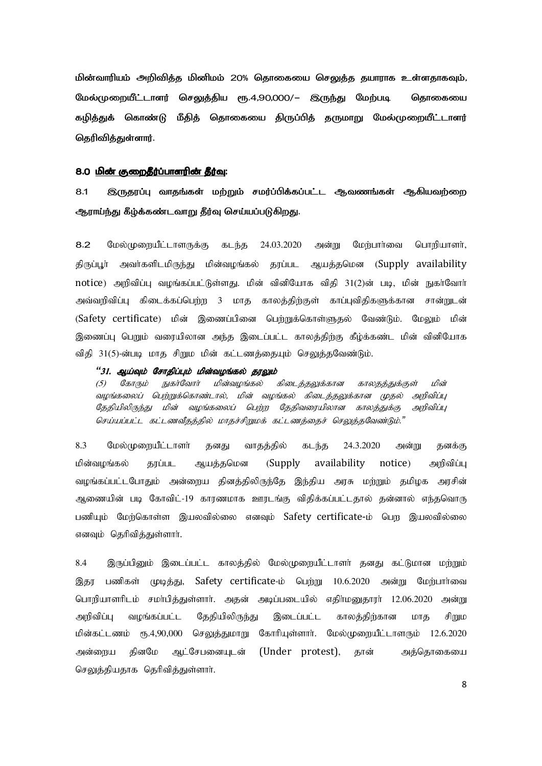மின்வாரியம் அறிவித்த மினிமம் 20% தொகையை செலுத்த தயாராக உள்ளதாகவும், மேல்முறையீட்டாளர் செலுத்திய ரூ.4,90,000/– இருந்து மேற்படி கொகையை கழித்துக் கொண்டு மீதித் தொகையை திருப்பித் தருமாறு மேல்முறையீட்டாளர் தெரிவிக்குள்ளார்.

### 8.0 மின் குறைதீர்ப்பாளரின் தீர்வு:

இருதரப்பு வாதங்கள் மற்றும் சமர்ப்பிக்கப்பட்ட ஆவணங்கள் ஆகியவற்றை  $8.1$ ஆராய்ந்து கீழ்க்கண்டவாறு தீர்வு செய்யப்படுகிறது.

 $8.2$ மேல்முறையீட்டாளருக்கு கடந்த 24.03.2020 அன்று மேற்பார்வை பொறியாளர், திருப்பூர் அவர்களிடமிருந்து மின்வழங்கல் தரப்பட ஆயத்தமென (Supply availability notice) அறிவிப்பு வழங்கப்பட்டுள்ளது. மின் வினியோக விதி 31(2)ன் படி, மின் நுகா்வோா் அவ்வறிவிப்பு கிடைக்கப்பெற்ற 3 மாத காலத்திற்குள் காப்புவிதிகளுக்கான சான்றுடன் (Safety certificate) மின் இணைப்பினை பெற்றுக்கொள்ளுகல் வேண்டும். மேலும் மின் இணைப்பு பெறும் வரையிலான அந்த இடைப்பட்ட காலத்திற்கு கீழ்க்கண்ட மின் வினியோக விதி 31(5)-ன்படி மாத சிறும மின் கட்டணத்தையும் செலுத்தவேண்டும்.

### "31. ஆய்வும் சோதிப்பும் மின்வழங்கல் தரலும்

நுகர்வோர் மின்வழங்கல் கிடைத்தலுக்கான காலதத்துக்குள் பின் கோரும்  $(5)$ வமங்கலைப் பெற்றுக்கொண்டால், மின் வமங்கல் கிடைக்கலுக்கான முகல் அறிவிப்பு தேதியிலிருந்து மின் வழங்கலைப் பெற்ற தேதிவரையிலான காலத்துக்கு அறிவிப்பு செய்யப்பட்ட கட்டணவீதத்தில் மாதச்சிறுமக் கட்டணத்தைச் செலுத்தவேண்டும்."

24.3.2020 8.3 மேல்முறையீட்டாளர் வாதத்தில் தனது கடந்த அன்று தனக்கு availability மின்வமங்கல் காப்பட ஆயக்கமென (Supply) notice) அறிவிப்ப வழங்கப்பட்டபோதும் அன்றைய தினத்திலிருந்தே இந்திய அரசு மற்றும் தமிழக அரசின் ஆணையின் படி கோவிட்-19 காரணமாக ஊரடங்கு விதிக்கப்பட்டதால் தன்னால் எந்தவொரு பணியும் மேற்கொள்ள இயலவில்லை எனவும் Safety certificate-ம் பெற இயலவில்லை எனவும் தெரிவிக்குள்ளார்.

8.4 இருப்பினும் இடைப்பட்ட காலத்தில் மேல்முறையீட்டாளர் தனது கட்டுமான மற்றும் பணிகள் முடித்து, Safety certificate-ம் பெற்று 10.6.2020 அன்று மேற்பார்வை இதர பொறியாளரிடம் சமா்பித்துள்ளாா். அதன் அடிப்படையில் எதிா்மனுதாரா் 12.06.2020 அன்று அறிவிப்பு வழங்கப்பட்ட தேதியிலிருந்து இடைப்பட்ட காலக்கிர்கான மாக சிறும மின்கட்டணம் ரூ.4,90,000 செலுத்துமாறு கோரியுள்ளார். மேல்முறையீட்டாளரும் 12.6.2020 அன்ளைய தினமே ஆட்சேபனையுடன் (Under protest), தான் அத்தொகையை செலுத்தியதாக தெரிவித்துள்ளார்.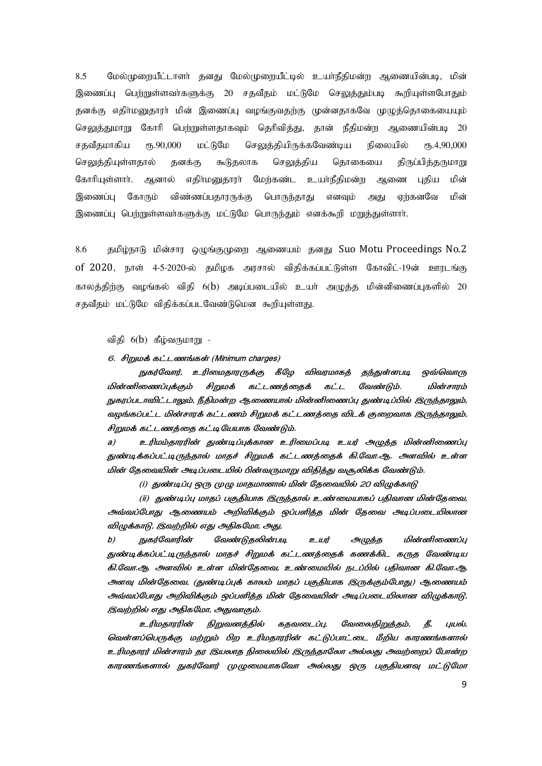8.5 மேல்முறையீட்டாளா் தனது மேல்முறையீட்டில் உயா்நீதிமன்ற ஆணையின்படி, மின் இணைப்பு பெற்றுள்ளவாகளுக்கு 20 சதவீதம் மட்டுமே செலுத்தும்படி கூறியுள்ளபோதும் தனக்கு எதிா்மனுதாரா் மின் இணைப்பு வழங்குவதற்கு முன்னதாகவே முழுத்தொகையையும் செலுத்துமாறு கோரி பெற்றுள்ளதாகவும் தெரிவித்து, தான் நீதிமன்ற ஆணையின்படி 20 சதவீதமாகிய ரூ.90,000 மட்டுமே செலுத்தியிருக்கவேண்டிய நிலையில் ரூ.4,90,000 செலுத்தியுள்ளதால் தனக்கு கூடுதலாக செலுத்திய தொகையை திருப்பித்தருமாறு கோரியுள்ளார். ஆனால் எதிர்மனுதாரர் மேற்கண்ட உயர்நீதிமன்ற ஆணை புதிய மின் இணைப்பு கோரும் விண்ணப்பதாரருக்கு பொருந்தாது எனவும் அது எற்கனவே மின் இணைப்பு பெற்றுள்ளவா்களுக்கு மட்டுமே பொருந்தும் எனக்கூறி ம<u>றுத்து</u>ள்ளாா்.

8.6 குமிழ்நாடு மின்சார ஒழுங்குமுறை ஆணையம் தனது Suo Motu Proceedings No.2 of 2020, நாள் 4-5-2020-ல் தமிழக அரசால் விதிக்கப்பட்டுள்ள கோவிட்-19ன் ஊரடங்கு காலத்திற்கு வழங்கல் விதி 6(b) அடிப்படையில் உயர் அழுத்த மின்னிணைப்புகளில் 20 சதவீதம் மட்டுமே விதிக்கப்படவேண்டுமென கூறியுள்ளது.

விதி 6(b) கீழ்வருமாறு -

6. சிறுமக் கட்டணங்கள் (Minimum charges)

நுகர்வோர், உரிமைதாரருக்கு கீழே விவரமாகத் தந்துள்ளபடி ஒவ்வொரு மின்னிணைப்புக்கும் சிறுமக் கட்டணத்தைக் கட்ட வேண்டும். மின் மின்சாரம் நுகரப்படாவிட்டாலும், நீதிமன்ற ஆணையால் மின்னிணைப்பு துண்டிப்பில் இருந்தாலும், வழங்கப்பட்ட மின்சாரக் கட்டணம் சிறுமக் கட்டணத்தை விடக் குறைவாக இருந்தாலும், சிறுமக் கட்டணத்தை கட்டியேயாக வேண்டும்.

a) P?<?- 3#A478M P?A P. Bi2 -a4 துண்டிக்கப்பட்டிருந்தால் மாதச் சிறுமக் கட்டணத்தைக் கி.வோ.ஆ. அளவில் உள்ள மின் தேவையின் அடிப்படையில் பின்வருமாறு விதித்து வசூலிக்க வேண்டும்.

(i) துண்டிப்பு ஒரு முழு மாதமானால் மின் தேவையில் 20 விழுக்காடு

(ii) துண்டிப்பு மாதப் பகுதியாக இருந்தால் உண்மையாகப் பதிவான மின்தேவை, அவ்வப்போது ஆணையம் அறிவிக்கும் ஒப்பளித்த மின் தேவை அடிப்படையிலான விழுக்காடு, இவற்றில் எது அதிகமோ, அது,

b) நுகர்வோரின் வேண்டுதலின்படி உயர் அழுத்த மின்னிணைப்பு துண்டிக்கப்பட்டிருந்தால் மாதச் சிறுமக் கட்டணத்தைக் கணக்கிட கருத வேண்டிய கி.வோ.ஆ அளவில் உள்ள மின்தேவை, உண்மையில் நடப்பில் பதிவான கி.வோ.ஆ அளவு மின்தேவை, (துண்டிப்புக் காலம் மாதப் பகுதியாக இருக்கும்போது) ஆணையம் அவ்வப்போது அறிவிக்கும் ஒப்பளித்த மின் தேவையின் அடிப்படையிலான விழுக்காடு, இவற்றில் எது அதிகமோ, அதுவாகும்.

உரிமதாரரின் நிறுவனத்தில் கதவடைப்பு, வேலைநிறுத்தம், தீ, புயல், வெள்ளப்பெருக்கு மற்றும் பிற உரிமதாரரின் கட்டுப்பாட்டை மீறிய காரணங்களால் உரிமதாரர் மின்சாரம் தர இயலாத நிலையில் இருந்தாலோ அல்லது அவற்றைப் போன்ற காரணங்களால் நுகர்வோர் முழுமையாகவோ அல்லது ஒரு பகுதியளவு மட்டுமோ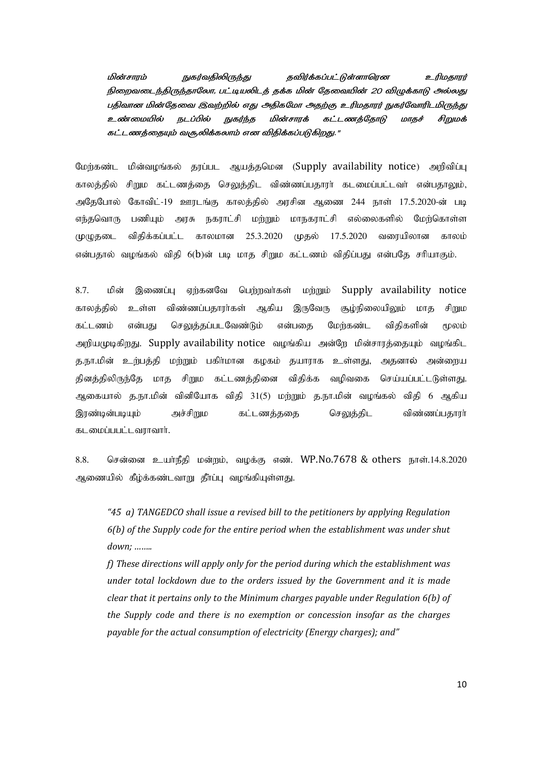நுகர்வதிலிருந்து *கவிர்க்கப்பட்டுள்ளாரென* மின்சாாம் உரிமகாார் நிறைவடைந்திருந்தாலோ, பட்டியலிடத் தக்க மின் தேவையின் 20 விழுக்காடு அல்லது பதிவான மின்தேவை இவற்றில் எது அதிகமோ அதற்கு உரிமதாரர் நுகர்வோரிடமிருந்து *உண்மையில்* நடப்பில் நுகர்ந்த மின்சாரக் கட்டணத்தோடு சிறுமக் மாதச் கட்டணத்தையும் வசூலிக்கலாம் என விதிக்கப்படுகிறது."

மின்வழங்கல் தரப்பட ஆயத்தமென (Supply availability notice) அறிவிப்பு மேர்கண்ட காலத்தில் சிறும கட்டணத்தை செலுத்திட விண்ணப்பதாரா் கடமைப்பட்டவா் என்பதாலும், கோவிட்-19 ஊரடங்கு காலத்தில் அரசின ஆணை 244 நாள் 17.5.2020-ன் படி அகேபோல் பணியும் அரசு நகராட்சி மற்றும் மாநகராட்சி எல்லைகளில் மேற்கொள்ள எந்தவொரு விகிக்கப்பட்ட காலமான 25.3.2020 முதல் 17.5.2020 வரையிலான முமுகடை காலம் என்பதால் வழங்கல் விதி 6(b)ன் படி மாத சிறும கட்டணம் விதிப்பது என்பதே சரியாகும்.

8.7. Supply availability notice பின் இணைப்பு ஏற்கனவே பெற்றவர்கள் மற்றும் காலக்கில் உள்ள விண்ணப்பதாரர்கள் இருவேரு சூம்நிலையிலும் மாக ஆகிய சிறும கட்டணம் என்பகு செலுக்கப்படவேண்டும் என்பகை மேர்கண்ட விகிகளின் மலம் அறியமுடிகிறது. Supply availability notice வழங்கிய அன்றே மின்சாரத்தையும் வழங்கிட த.நா.மின் உற்பத்தி மற்றும் பகிா்மான கழகம் தயாராக உள்ளது, அதனால் அன்றைய தினத்திலிருந்தே மாத சிறும கட்டணத்தினை விகிக்க வமிவகை செய்யப்பட்டடுள்ளது. ஆகையால் த.நா.மின் வினியோக விதி 31(5) மற்றும் த.நா.மின் வழங்கல் விதி 6 ஆகிய இரண்டின்படியும் அச்சிறும கட்டணத்ததை செலுத்திட விண்ணப்பதாரா் கடமைப்பபட்டவராவார்.

8.8. சென்னை உயர்நீதி மன்றம், வழக்கு எண். WP.No.7678 & others நாள்.14.8.2020 ஆணையில் கீழ்க்கண்டவாறு தீா்ப்பு வழங்கியுள்ளது.

"45 a) TANGEDCO shall issue a revised bill to the petitioners by applying Regulation  $6(b)$  of the Supply code for the entire period when the establishment was under shut  $down: \dots$ 

 $f$ ) These directions will apply only for the period during which the establishment was under total lockdown due to the orders issued by the Government and it is made clear that it pertains only to the Minimum charges payable under Regulation  $6(b)$  of the Supply code and there is no exemption or concession insofar as the charges payable for the actual consumption of electricity (Energy charges); and"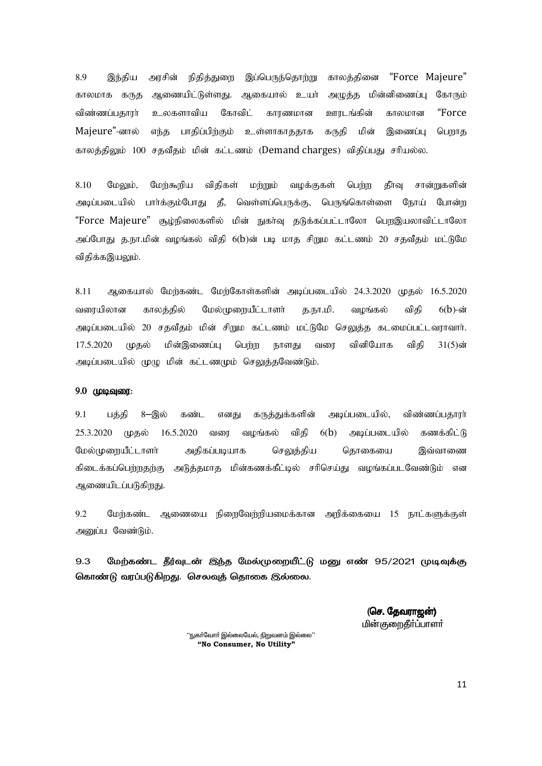இப்பெருந்தொற்று காலத்தினை "Force Majeure" 8.9 இந்திய அரசின் நிதித்துறை காலமாக கருத ஆணையிட்டுள்ளது. ஆகையால் உயர் அழுத்த மின்னிணைப்பு கோரும் விண்ணப்பதாரா் உலகளாவிய கோவிட் காரணமான ஊரடங்கின் "Force" காலமான Majeure"-னால் கருதி மின் எந்த பாதிப்பிற்கும் உள்ளாகாததாக பெறாக இணைப்பு காலத்திலும் 100 சதவீதம் மின் கட்டணம் (Demand charges) விதிப்பது சரியல்ல.

8.10 மேர்கூரிய விகிகள் தீர்வ மேலும், மர்றும் வமக்குகள் பெர்ற சான்றுகளின் அடிப்படையில் பார்க்கும்போது தீ, வெள்ளப்பெருக்கு, பெருங்கொள்ளை நோய் போன்ற "Force Majeure" சூழ்நிலைகளில் மின் நுகர்வு தடுக்கப்பட்டாலோ பெறஇயலாவிட்டாலோ அப்போது த.நா.மின் வழங்கல் விதி 6(b)ன் படி மாத சிறும கட்டணம் 20 சதவீதம் மட்டுமே விதிக்கஇயலும்.

8.11 ஆகையால் மேற்கண்ட மேற்கோள்களின் அடிப்படையில் 24.3.2020 முதல் 16.5.2020 த.நா.மி. வரையிலான காலத்தில் மேல்முறையீட்டாளர் வழங்கல் விகி  $6(b)$ -ன் அடிப்படையில் 20 சதவீதம் மின் சிறும கட்டணம் மட்டுமே செலுத்த கடமைப்பட்டவராவார். 17.5.2020 (மகல் மின்இணைப்பு பெற்ற நாளது வன வினியோக விகி  $31(5)$ ன் அடிப்படையில் முழு மின் கட்டணமும் செலுத்தவேண்டும்.

### 9.0 முடிவுரை:

 $9.1$ பக்கி 8-இல் கண்ட எனகு கருக்குக்களின் அடிப்படையில். விண்ணப்பகாார்  $25.3.2020$  முதல்  $16.5.2020$  வரை வழங்கல் விதி  $6(b)$  அடிப்படையில் கணக்கிட்டு மேல்முளையீட்டாளர் அகிகப்படியாக செலுத்திய கொகையை இவ்வாணை கிடைக்கப்பெற்றதற்கு அடுத்தமாத மின்கணக்கீட்டில் சரிசெய்து வழங்கப்படவேண்டும் என ஆணையிடப்படுகிறது.

 $9.2$ மேற்கண்ட ஆணையை நிறைவேற்றியமைக்கான அறிக்கையை 15 நாட்களுக்குள் அனுப்ப வேண்டும்.

9.3 மேற்கண்ட தீர்வுடன் இந்த மேல்முறையீட்டு மனு எண் 95/2021 முடிவுக்கு கொண்டு வரப்படுகிறது. செலவுத் தொகை இல்லை.

> (செ. தேவராஜன்) மின்குறைதீர்ப்பாளர்

'நுகா்வோா் இல்லையேல், நிறுவனம் இல்லை'' "No Consumer. No Utility"